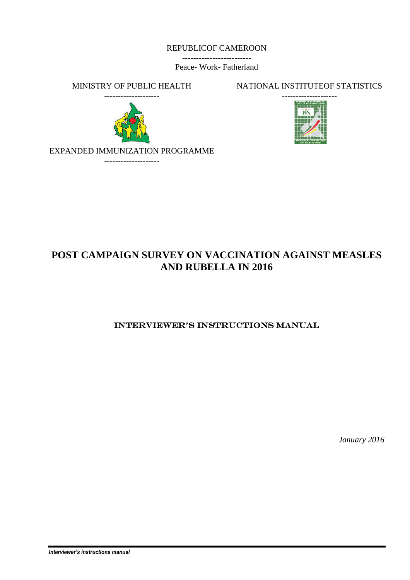### REPUBLICOF CAMEROON

**-------------------------** Peace- Work- Fatherland

MINISTRY OF PUBLIC HEALTH

--------------------





EXPANDED IMMUNIZATION PROGRAMME --------------------



# **POST CAMPAIGN SURVEY ON VACCINATION AGAINST MEASLES AND RUBELLA IN 2016**

# INTERVIEWER'S INSTRUCTIONS MANUAL

*January 2016*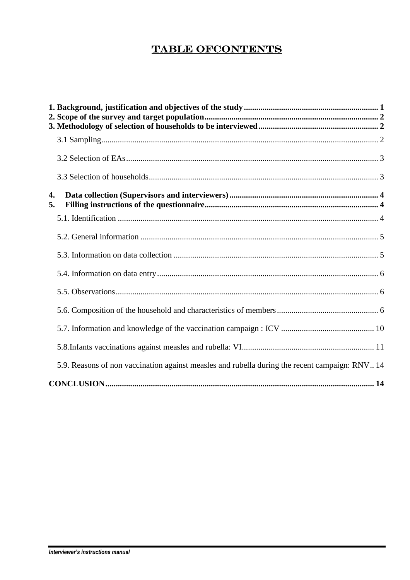# **TABLE OFCONTENTS**

| 4.<br>5.                                                                                       |  |
|------------------------------------------------------------------------------------------------|--|
|                                                                                                |  |
|                                                                                                |  |
|                                                                                                |  |
|                                                                                                |  |
|                                                                                                |  |
|                                                                                                |  |
|                                                                                                |  |
|                                                                                                |  |
| 5.9. Reasons of non vaccination against measles and rubella during the recent campaign: RNV 14 |  |
|                                                                                                |  |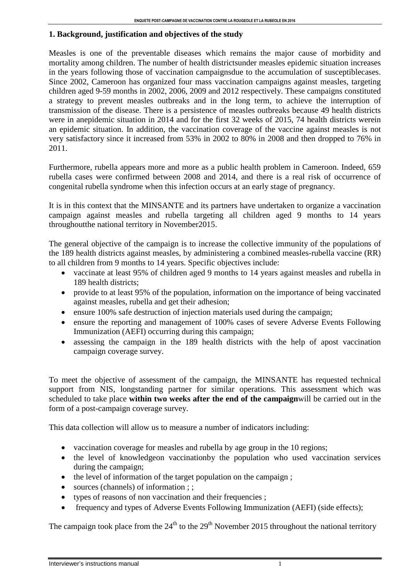# <span id="page-2-0"></span>**1. Background, justification and objectives of the study**

Measles is one of the preventable diseases which remains the major cause of morbidity and mortality among children. The number of health districtsunder measles epidemic situation increases in the years following those of vaccination campaignsdue to the accumulation of susceptiblecases. Since 2002, Cameroon has organized four mass vaccination campaigns against measles, targeting children aged 9-59 months in 2002, 2006, 2009 and 2012 respectively. These campaigns constituted a strategy to prevent measles outbreaks and in the long term, to achieve the interruption of transmission of the disease. There is a persistence of measles outbreaks because 49 health districts were in anepidemic situation in 2014 and for the first 32 weeks of 2015, 74 health districts werein an epidemic situation. In addition, the vaccination coverage of the vaccine against measles is not very satisfactory since it increased from 53% in 2002 to 80% in 2008 and then dropped to 76% in 2011.

Furthermore, rubella appears more and more as a public health problem in Cameroon. Indeed, 659 rubella cases were confirmed between 2008 and 2014, and there is a real risk of occurrence of congenital rubella syndrome when this infection occurs at an early stage of pregnancy.

It is in this context that the MINSANTE and its partners have undertaken to organize a vaccination campaign against measles and rubella targeting all children aged 9 months to 14 years throughoutthe national territory in November2015.

The general objective of the campaign is to increase the collective immunity of the populations of the 189 health districts against measles, by administering a combined measles-rubella vaccine (RR) to all children from 9 months to 14 years. Specific objectives include:

- vaccinate at least 95% of children aged 9 months to 14 years against measles and rubella in 189 health districts;
- provide to at least 95% of the population, information on the importance of being vaccinated against measles, rubella and get their adhesion;
- ensure 100% safe destruction of injection materials used during the campaign;
- ensure the reporting and management of 100% cases of severe Adverse Events Following Immunization (AEFI) occurring during this campaign;
- assessing the campaign in the 189 health districts with the help of apost vaccination campaign coverage survey.

To meet the objective of assessment of the campaign, the MINSANTE has requested technical support from NIS, longstanding partner for similar operations. This assessment which was scheduled to take place **within two weeks after the end of the campaign**will be carried out in the form of a post-campaign coverage survey.

This data collection will allow us to measure a number of indicators including:

- vaccination coverage for measles and rubella by age group in the 10 regions;
- the level of knowledgeon vaccinationby the population who used vaccination services during the campaign;
- the level of information of the target population on the campaign;
- sources (channels) of information : :
- types of reasons of non vaccination and their frequencies ;
- frequency and types of Adverse Events Following Immunization (AEFI) (side effects);

The campaign took place from the  $24<sup>th</sup>$  to the  $29<sup>th</sup>$  November 2015 throughout the national territory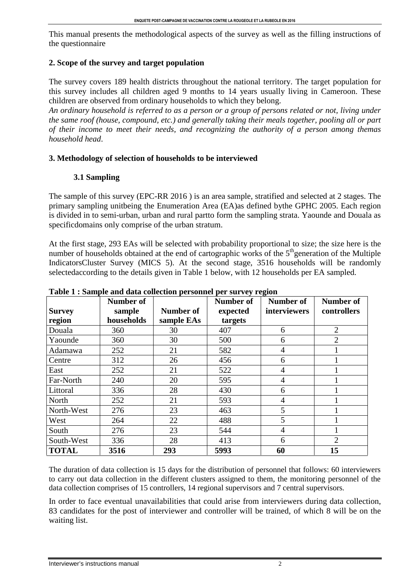<span id="page-3-1"></span><span id="page-3-0"></span>This manual presents the methodological aspects of the survey as well as the filling instructions of the questionnaire

# **2. Scope of the survey and target population**

The survey covers 189 health districts throughout the national territory. The target population for this survey includes all children aged 9 months to 14 years usually living in Cameroon. These children are observed from ordinary households to which they belong.

*An ordinary household is referred to as a person or a group of persons related or not, living under the same roof (house, compound, etc.) and generally taking their meals together, pooling all or part of their income to meet their needs, and recognizing the authority of a person among themas household head*.

# **3. Methodology of selection of households to be interviewed**

# **3.1 Sampling**

The sample of this survey (EPC-RR 2016 ) is an area sample, stratified and selected at 2 stages. The primary sampling unitbeing the Enumeration Area (EA)as defined bythe GPHC 2005. Each region is divided in to semi-urban, urban and rural partto form the sampling strata. Yaounde and Douala as specificdomains only comprise of the urban stratum.

At the first stage, 293 EAs will be selected with probability proportional to size; the size here is the number of households obtained at the end of cartographic works of the  $5<sup>th</sup>$ generation of the Multiple IndicatorsCluster Survey (MICS 5). At the second stage, 3516 households will be randomly selectedaccording to the details given in Table 1 below, with 12 households per EA sampled.

| Table 1 , Bampic and data concentri personnel per survey region |                  |            |           |                |                |  |  |
|-----------------------------------------------------------------|------------------|------------|-----------|----------------|----------------|--|--|
|                                                                 | <b>Number of</b> |            | Number of | Number of      | Number of      |  |  |
| <b>Survey</b>                                                   | sample           | Number of  | expected  | interviewers   | controllers    |  |  |
| region                                                          | households       | sample EAs | targets   |                |                |  |  |
| Douala                                                          | 360              | 30         | 407       | 6              | $\overline{2}$ |  |  |
| Yaounde                                                         | 360              | 30         | 500       | 6              | $\overline{2}$ |  |  |
| Adamawa                                                         | 252              | 21         | 582       | $\overline{4}$ |                |  |  |
| Centre                                                          | 312              | 26         | 456       | 6              |                |  |  |
| East                                                            | 252              | 21         | 522       | $\overline{4}$ |                |  |  |
| Far-North                                                       | 240              | 20         | 595       | $\overline{4}$ |                |  |  |
| Littoral                                                        | 336              | 28         | 430       | 6              |                |  |  |
| North                                                           | 252              | 21         | 593       | $\overline{4}$ |                |  |  |
| North-West                                                      | 276              | 23         | 463       | 5              |                |  |  |
| West                                                            | 264              | 22         | 488       | 5              |                |  |  |
| South                                                           | 276              | 23         | 544       | $\overline{4}$ |                |  |  |
| South-West                                                      | 336              | 28         | 413       | 6              | $\overline{2}$ |  |  |
| <b>TOTAL</b>                                                    | 3516             | 293        | 5993      | 60             | 15             |  |  |

**Table 1 : Sample and data collection personnel per survey region**

The duration of data collection is 15 days for the distribution of personnel that follows: 60 interviewers to carry out data collection in the different clusters assigned to them, the monitoring personnel of the data collection comprises of 15 controllers, 14 regional supervisors and 7 central supervisors.

In order to face eventual unavailabilities that could arise from interviewers during data collection, 83 candidates for the post of interviewer and controller will be trained, of which 8 will be on the waiting list.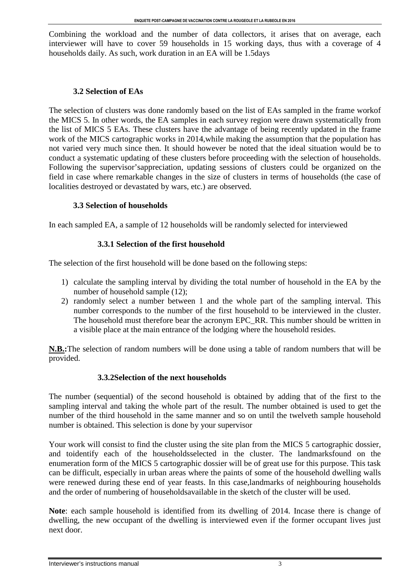<span id="page-4-0"></span>Combining the workload and the number of data collectors, it arises that on average, each interviewer will have to cover 59 households in 15 working days, thus with a coverage of 4 households daily. As such, work duration in an EA will be 1.5days

### **3.2 Selection of EAs**

The selection of clusters was done randomly based on the list of EAs sampled in the frame workof the MICS 5. In other words, the EA samples in each survey region were drawn systematically from the list of MICS 5 EAs. These clusters have the advantage of being recently updated in the frame work of the MICS cartographic works in 2014,while making the assumption that the population has not varied very much since then. It should however be noted that the ideal situation would be to conduct a systematic updating of these clusters before proceeding with the selection of households. Following the supervisor'sappreciation, updating sessions of clusters could be organized on the field in case where remarkable changes in the size of clusters in terms of households (the case of localities destroyed or devastated by wars, etc.) are observed.

# **3.3 Selection of households**

In each sampled EA, a sample of 12 households will be randomly selected for interviewed

# **3.3.1 Selection of the first household**

The selection of the first household will be done based on the following steps:

- 1) calculate the sampling interval by dividing the total number of household in the EA by the number of household sample (12);
- 2) randomly select a number between 1 and the whole part of the sampling interval. This number corresponds to the number of the first household to be interviewed in the cluster. The household must therefore bear the acronym EPC\_RR. This number should be written in a visible place at the main entrance of the lodging where the household resides.

**N.B.:**The selection of random numbers will be done using a table of random numbers that will be provided.

### **3.3.2Selection of the next households**

The number (sequential) of the second household is obtained by adding that of the first to the sampling interval and taking the whole part of the result. The number obtained is used to get the number of the third household in the same manner and so on until the twelveth sample household number is obtained. This selection is done by your supervisor

Your work will consist to find the cluster using the site plan from the MICS 5 cartographic dossier, and toidentify each of the householdsselected in the cluster. The landmarksfound on the enumeration form of the MICS 5 cartographic dossier will be of great use for this purpose. This task can be difficult, especially in urban areas where the paints of some of the household dwelling walls were renewed during these end of year feasts. In this case,landmarks of neighbouring households and the order of numbering of householdsavailable in the sketch of the cluster will be used.

**Note**: each sample household is identified from its dwelling of 2014. Incase there is change of dwelling, the new occupant of the dwelling is interviewed even if the former occupant lives just next door.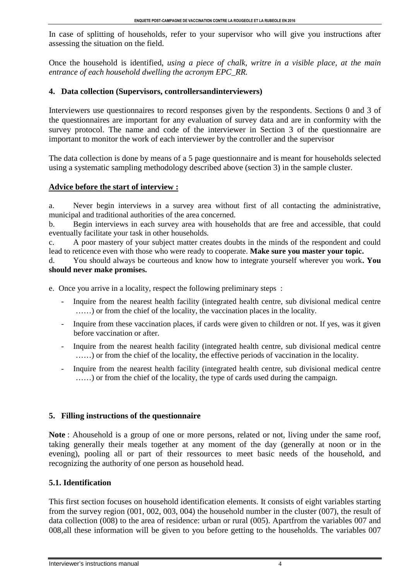<span id="page-5-1"></span><span id="page-5-0"></span>In case of splitting of households, refer to your supervisor who will give you instructions after assessing the situation on the field.

Once the household is identified, *using a piece of chalk, writre in a visible place, at the main entrance of each household dwelling the acronym EPC\_RR.*

### **4. Data collection (Supervisors, controllersandinterviewers)**

Interviewers use questionnaires to record responses given by the respondents. Sections 0 and 3 of the questionnaires are important for any evaluation of survey data and are in conformity with the survey protocol. The name and code of the interviewer in Section 3 of the questionnaire are important to monitor the work of each interviewer by the controller and the supervisor

The data collection is done by means of a 5 page questionnaire and is meant for households selected using a systematic sampling methodology described above (section 3) in the sample cluster.

### **Advice before the start of interview :**

a. Never begin interviews in a survey area without first of all contacting the administrative, municipal and traditional authorities of the area concerned.

b. Begin interviews in each survey area with households that are free and accessible, that could eventually facilitate your task in other households.

c. A poor mastery of your subject matter creates doubts in the minds of the respondent and could lead to reticence even with those who were ready to cooperate. **Make sure you master your topic.**

d. You should always be courteous and know how to integrate yourself wherever you work**. You should never make promises.**

e. Once you arrive in a locality, respect the following preliminary steps :

- Inquire from the nearest health facility (integrated health centre, sub divisional medical centre ……) or from the chief of the locality, the vaccination places in the locality.
- Inquire from these vaccination places, if cards were given to children or not. If yes, was it given before vaccination or after.
- Inquire from the nearest health facility (integrated health centre, sub divisional medical centre ……) or from the chief of the locality, the effective periods of vaccination in the locality.
- Inquire from the nearest health facility (integrated health centre, sub divisional medical centre ……) or from the chief of the locality, the type of cards used during the campaign.

### **5. Filling instructions of the questionnaire**

**Note** : Ahousehold is a group of one or more persons, related or not, living under the same roof, taking generally their meals together at any moment of the day (generally at noon or in the evening), pooling all or part of their ressources to meet basic needs of the household, and recognizing the authority of one person as household head.

# **5.1. Identification**

This first section focuses on household identification elements. It consists of eight variables starting from the survey region (001, 002, 003, 004) the household number in the cluster (007), the result of data collection (008) to the area of residence: urban or rural (005). Apartfrom the variables 007 and 008,all these information will be given to you before getting to the households. The variables 007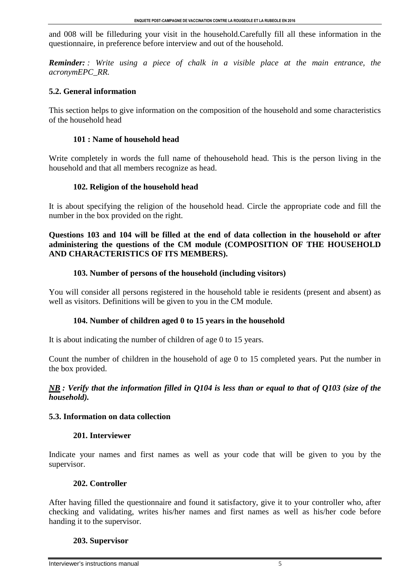<span id="page-6-0"></span>and 008 will be filleduring your visit in the household.Carefully fill all these information in the questionnaire, in preference before interview and out of the household.

*Reminder: : Write using a piece of chalk in a visible place at the main entrance, the acronymEPC\_RR.*

# **5.2. General information**

This section helps to give information on the composition of the household and some characteristics of the household head

### **101 : Name of household head**

Write completely in words the full name of thehousehold head. This is the person living in the household and that all members recognize as head.

### **102. Religion of the household head**

It is about specifying the religion of the household head. Circle the appropriate code and fill the number in the box provided on the right.

# **Questions 103 and 104 will be filled at the end of data collection in the household or after administering the questions of the CM module (COMPOSITION OF THE HOUSEHOLD AND CHARACTERISTICS OF ITS MEMBERS).**

# **103. Number of persons of the household (including visitors)**

You will consider all persons registered in the household table ie residents (present and absent) as well as visitors. Definitions will be given to you in the CM module.

# **104. Number of children aged 0 to 15 years in the household**

It is about indicating the number of children of age 0 to 15 years.

Count the number of children in the household of age 0 to 15 completed years. Put the number in the box provided.

*NB : Verify that the information filled in Q104 is less than or equal to that of Q103 (size of the household).*

### **5.3. Information on data collection**

### **201. Interviewer**

Indicate your names and first names as well as your code that will be given to you by the supervisor.

### **202. Controller**

After having filled the questionnaire and found it satisfactory, give it to your controller who, after checking and validating, writes his/her names and first names as well as his/her code before handing it to the supervisor.

### **203. Supervisor**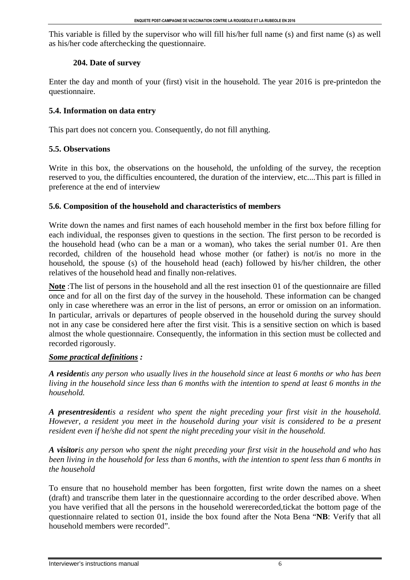<span id="page-7-0"></span>This variable is filled by the supervisor who will fill his/her full name (s) and first name (s) as well as his/her code afterchecking the questionnaire.

### **204. Date of survey**

Enter the day and month of your (first) visit in the household. The year 2016 is pre-printedon the questionnaire.

# **5.4. Information on data entry**

This part does not concern you. Consequently, do not fill anything.

### **5.5. Observations**

Write in this box, the observations on the household, the unfolding of the survey, the reception reserved to you, the difficulties encountered, the duration of the interview, etc....This part is filled in preference at the end of interview

### **5.6. Composition of the household and characteristics of members**

Write down the names and first names of each household member in the first box before filling for each individual, the responses given to questions in the section. The first person to be recorded is the household head (who can be a man or a woman), who takes the serial number 01. Are then recorded, children of the household head whose mother (or father) is not/is no more in the household, the spouse (s) of the household head (each) followed by his/her children, the other relatives of the household head and finally non-relatives.

**Note** :The list of persons in the household and all the rest insection 01 of the questionnaire are filled once and for all on the first day of the survey in the household. These information can be changed only in case wherethere was an error in the list of persons, an error or omission on an information. In particular, arrivals or departures of people observed in the household during the survey should not in any case be considered here after the first visit. This is a sensitive section on which is based almost the whole questionnaire. Consequently, the information in this section must be collected and recorded rigorously.

# *Some practical definitions :*

*A residentis any person who usually lives in the household since at least 6 months or who has been living in the household since less than 6 months with the intention to spend at least 6 months in the household.*

*A presentresidentis a resident who spent the night preceding your first visit in the household. However, a resident you meet in the household during your visit is considered to be a present resident even if he/she did not spent the night preceding your visit in the household.*

*A visitoris any person who spent the night preceding your first visit in the household and who has been living in the household for less than 6 months, with the intention to spent less than 6 months in the household*

To ensure that no household member has been forgotten, first write down the names on a sheet (draft) and transcribe them later in the questionnaire according to the order described above. When you have verified that all the persons in the household wererecorded,tickat the bottom page of the questionnaire related to section 01, inside the box found after the Nota Bena "**NB**: Verify that all household members were recorded".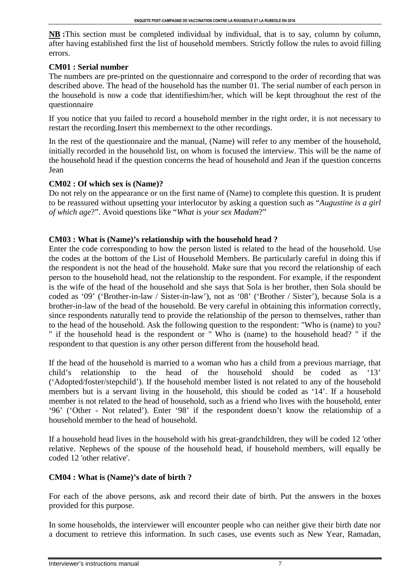**NB :**This section must be completed individual by individual, that is to say, column by column, after having established first the list of household members. Strictly follow the rules to avoid filling errors.

### **CM01 : Serial number**

The numbers are pre-printed on the questionnaire and correspond to the order of recording that was described above. The head of the household has the number 01. The serial number of each person in the household is now a code that identifieshim/her, which will be kept throughout the rest of the questionnaire

If you notice that you failed to record a household member in the right order, it is not necessary to restart the recording.Insert this membernext to the other recordings.

In the rest of the questionnaire and the manual, (Name) will refer to any member of the household, initially recorded in the household list, on whom is focused the interview. This will be the name of the household head if the question concerns the head of household and Jean if the question concerns Jean

# **CM02 : Of which sex is (Name)?**

Do not rely on the appearance or on the first name of (Name) to complete this question. It is prudent to be reassured without upsetting your interlocutor by asking a question such as "*Augustine is a girl of which age*?". Avoid questions like "*What is your sex Madam*?"

# **CM03 : What is (Name)'s relationship with the household head ?**

Enter the code corresponding to how the person listed is related to the head of the household. Use the codes at the bottom of the List of Household Members. Be particularly careful in doing this if the respondent is not the head of the household. Make sure that you record the relationship of each person to the household head, not the relationship to the respondent. For example, if the respondent is the wife of the head of the household and she says that Sola is her brother, then Sola should be coded as '09' ('Brother-in-law / Sister-in-law'), not as '08' ('Brother / Sister'), because Sola is a brother-in-law of the head of the household. Be very careful in obtaining this information correctly, since respondents naturally tend to provide the relationship of the person to themselves, rather than to the head of the household. Ask the following question to the respondent: "Who is (name) to you? " if the household head is the respondent or " Who is (name) to the household head? " if the respondent to that question is any other person different from the household head.

If the head of the household is married to a woman who has a child from a previous marriage, that child's relationship to the head of the household should be coded as '13' child's relationship to the head of the household should be coded as '13' ('Adopted/foster/stepchild'). If the household member listed is not related to any of the household members but is a servant living in the household, this should be coded as '14'. If a household member is not related to the head of household, such as a friend who lives with the household, enter '96' ('Other - Not related'). Enter '98' if the respondent doesn't know the relationship of a household member to the head of household.

If a household head lives in the household with his great-grandchildren, they will be coded 12 'other relative. Nephews of the spouse of the household head, if household members, will equally be coded 12 'other relative'.

# **CM04 : What is (Name)'s date of birth ?**

For each of the above persons, ask and record their date of birth. Put the answers in the boxes provided for this purpose.

In some households, the interviewer will encounter people who can neither give their birth date nor a document to retrieve this information. In such cases, use events such as New Year, Ramadan,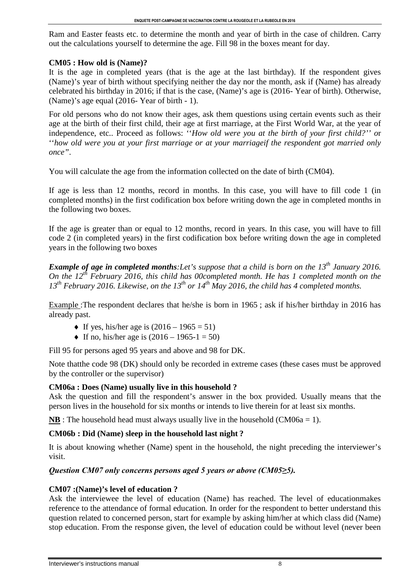Ram and Easter feasts etc. to determine the month and year of birth in the case of children. Carry out the calculations yourself to determine the age. Fill 98 in the boxes meant for day.

# **CM05 : How old is (Name)?**

It is the age in completed years (that is the age at the last birthday). If the respondent gives (Name)'s year of birth without specifying neither the day nor the month, ask if (Name) has already celebrated his birthday in 2016; if that is the case, (Name)'s age is (2016- Year of birth). Otherwise, (Name)'s age equal (2016- Year of birth - 1).

For old persons who do not know their ages, ask them questions using certain events such as their age at the birth of their first child, their age at first marriage, at the First World War, at the year of independence, etc.. Proceed as follows: ''*How old were you at the birth of your first child?'' o*r ''*how old were you at your first marriage or at your marriageif the respondent got married only once"*.

You will calculate the age from the information collected on the date of birth (CM04).

If age is less than 12 months, record in months. In this case, you will have to fill code 1 (in completed months) in the first codification box before writing down the age in completed months in the following two boxes.

If the age is greater than or equal to 12 months, record in years. In this case, you will have to fill code 2 (in completed years) in the first codification box before writing down the age in completed years in the following two boxes

*Example of age in completed months:Let's suppose that a child is born on the 13th January 2016. On the 12th February 2016, this child has 00completed month. He has 1 completed month on the 13th February 2016. Likewise, on the 13th or 14th May 2016, the child has 4 completed months.*

Example :The respondent declares that he/she is born in 1965 ; ask if his/her birthday in 2016 has already past.

- If yes, his/her age is  $(2016 1965 = 51)$
- If no, his/her age is  $(2016 1965 1 = 50)$

Fill 95 for persons aged 95 years and above and 98 for DK.

Note thatthe code 98 (DK) should only be recorded in extreme cases (these cases must be approved by the controller or the supervisor)

# **CM06a : Does (Name) usually live in this household ?**

Ask the question and fill the respondent's answer in the box provided. Usually means that the person lives in the household for six months or intends to live therein for at least six months.

**NB** : The household head must always usually live in the household (CM06a = 1).

# **CM06b : Did (Name) sleep in the household last night ?**

It is about knowing whether (Name) spent in the household, the night preceding the interviewer's visit.

# *Question CM07 only concerns persons aged 5 years or above (CM05≥5).*

# **CM07 :(Name)'s level of education ?**

Ask the interviewee the level of education (Name) has reached. The level of educationmakes reference to the attendance of formal education. In order for the respondent to better understand this question related to concerned person, start for example by asking him/her at which class did (Name) stop education. From the response given, the level of education could be without level (never been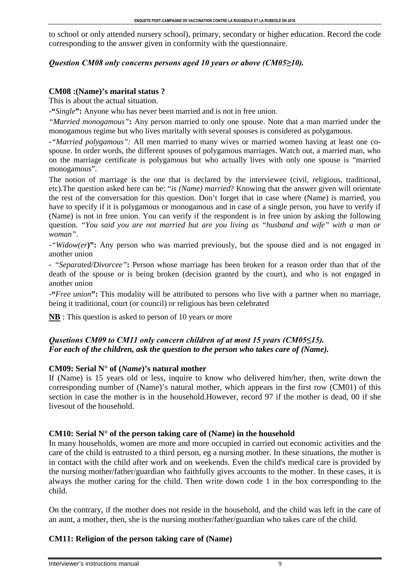to school or only attended nursery school), primary, secondary or higher education. Record the code corresponding to the answer given in conformity with the questionnaire.

# *Question CM08 only concerns persons aged 10 years or above (CM05≥10).*

# **CM08 :(Name)'s marital status ?**

This is about the actual situation.

**-"***Single***":** Anyone who has never been married and is not in free union.

*"Married monogamous"***:** Any person married to only one spouse. Note that a man married under the monogamous regime but who lives maritally with several spouses is considered as polygamous.

*-"Married polygamous":* All men married to many wives or married women having at least one cospouse. In order words, the different spouses of polygamous marriages. Watch out, a married man, who on the marriage certificate is polygamous but who actually lives with only one spouse is "married monogamous".

The notion of marriage is the one that is declared by the interviewee (civil, religious, traditional, etc).The question asked here can be: "*is (Name) married*? Knowing that the answer given will orientate the rest of the conversation for this question. Don't forget that in case where (Name) is married, you have to specify if it is polygamous or monogamous and in case of a single person, you have to verify if (Name) is not in free union. You can verify if the respondent is in free union by asking the following question. *"You said you are not married but are you living as "husband and wife" with a man or woman"*.

*-"Widow(er***)":** Any person who was married previously, but the spouse died and is not engaged in another union

*- "Separated/Divorcee"***:** Person whose marriage has been broken for a reason order than that of the death of the spouse or is being broken (decision granted by the court), and who is not engaged in another union

*-***"***Free union***":** This modality will be attributed to persons who live with a partner when no marriage, being it traditional, court (or council) or religious has been celebrated

**NB** : This question is asked to person of 10 years or more

# *Qusetions CM09 to CM11 only concern children of at most 15 years (CM05≤15). For each of the children, ask the question to the person who takes care of (Name).*

# **CM09: Serial N° of (***Name***)'s natural mother**

If (Name) is 15 years old or less, inquire to know who delivered him/her, then, write down the corresponding number of (Name)'s natural mother, which appears in the first row (CM01) of this section in case the mother is in the household.However, record 97 if the mother is dead, 00 if she livesout of the household.

# **CM10: Serial N° of the person taking care of (Name) in the household**

In many households, women are more and more occupied in carried out economic activities and the care of the child is entrusted to a third person, eg a nursing mother. In these situations, the mother is in contact with the child after work and on weekends. Even the child's medical care is provided by the nursing mother/father/guardian who faithfully gives accounts to the mother. In these cases, it is always the mother caring for the child. Then write down code 1 in the box corresponding to the child.

On the contrary, if the mother does not reside in the household, and the child was left in the care of an aunt, a mother, then, she is the nursing mother/father/guardian who takes care of the child.

# **CM11: Religion of the person taking care of (Name)**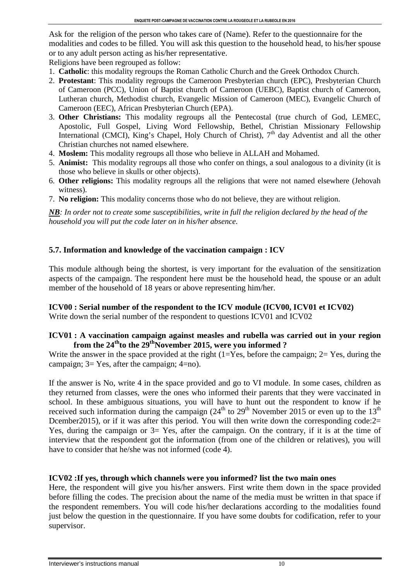<span id="page-11-0"></span>Ask for the religion of the person who takes care of (Name). Refer to the questionnaire for the modalities and codes to be filled. You will ask this question to the household head, to his/her spouse or to any adult person acting as his/her representative.

Religions have been regrouped as follow:

- 1. **Catholic**: this modality regroups the Roman Catholic Church and the Greek Orthodox Church.
- 2. **Protestant**: This modality regroups the Cameroon Presbyterian church (EPC), Presbyterian Church of Cameroon (PCC), Union of Baptist church of Cameroon (UEBC), Baptist church of Cameroon, Lutheran church, Methodist church, Evangelic Mission of Cameroon (MEC), Evangelic Church of Cameroon (EEC), African Presbyterian Church (EPA).
- 3. **Other Christians:** This modality regroups all the Pentecostal (true church of God, LEMEC, Apostolic, Full Gospel, Living Word Fellowship, Bethel, Christian Missionary Fellowship International (CMCI), King's Chapel, Holy Church of Christ),  $7<sup>th</sup>$  day Adventist and all the other Christian churches not named elsewhere.
- 4. **Moslem:** This modality regroups all those who believe in ALLAH and Mohamed.
- 5. **Animist:** This modality regroups all those who confer on things, a soul analogous to a divinity (it is those who believe in skulls or other objects).
- 6. **Other religions:** This modality regroups all the religions that were not named elsewhere (Jehovah witness).
- 7. **No religion:** This modality concerns those who do not believe, they are without religion.

*NB: In order not to create some susceptibilities, write in full the religion declared by the head of the household you will put the code later on in his/her absence.*

# **5.7. Information and knowledge of the vaccination campaign : ICV**

This module although being the shortest, is very important for the evaluation of the sensitization aspects of the campaign. The respondent here must be the household head, the spouse or an adult member of the household of 18 years or above representing him/her.

# **ICV00 : Serial number of the respondent to the ICV module (ICV00, ICV01 et ICV02)**

Write down the serial number of the respondent to questions ICV01 and ICV02

### **ICV01 : A vaccination campaign against measles and rubella was carried out in your region from the 24thto the 29thNovember 2015, were you informed ?**

Write the answer in the space provided at the right  $(1=Yes, before the campaign; 2=Yes, during the$ campaign; 3= Yes, after the campaign; 4=no).

If the answer is No, write 4 in the space provided and go to VI module. In some cases, children as they returned from classes, were the ones who informed their parents that they were vaccinated in school. In these ambiguous situations, you will have to hunt out the respondent to know if he received such information during the campaign  $(24<sup>th</sup>$  to  $29<sup>th</sup>$  November 2015 or even up to the 13<sup>th</sup> Dcember2015), or if it was after this period. You will then write down the corresponding code:2= Yes, during the campaign or 3= Yes, after the campaign. On the contrary, if it is at the time of interview that the respondent got the information (from one of the children or relatives), you will have to consider that he/she was not informed (code 4).

# **ICV02 :If yes, through which channels were you informed? list the two main ones**

Here, the respondent will give you his/her answers. First write them down in the space provided before filling the codes. The precision about the name of the media must be written in that space if the respondent remembers. You will code his/her declarations according to the modalities found just below the question in the questionnaire. If you have some doubts for codification, refer to your supervisor.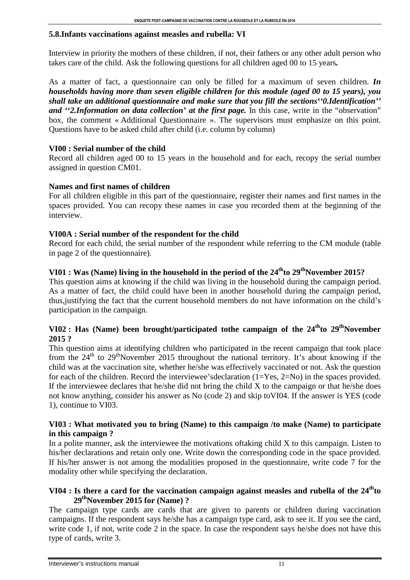# <span id="page-12-0"></span>**5.8.Infants vaccinations against measles and rubella: VI**

Interview in priority the mothers of these children, if not, their fathers or any other adult person who takes care of the child. Ask the following questions for all children aged 00 to 15 years*.*

As a matter of fact, a questionnaire can only be filled for a maximum of seven children. *In households having more than seven eligible children for this module (aged 00 to 15 years), you shall take an additional questionnaire and make sure that you fill the sections''0.Identification'' and ''2.Information on data collection' at the first page.* In this case, write in the "observation" box, the comment « Additional Questionnaire ». The supervisors must emphasize on this point. Questions have to be asked child after child (i.e. column by column)

# **VI00 : Serial number of the child**

Record all children aged 00 to 15 years in the household and for each, recopy the serial number assigned in question CM01.

# **Names and first names of children**

For all children eligible in this part of the questionnaire, register their names and first names in the spaces provided. You can recopy these names in case you recorded them at the beginning of the interview.

# **VI00A : Serial number of the respondent for the child**

Record for each child, the serial number of the respondent while referring to the CM module (table in page 2 of the questionnaire).

# **VI01 : Was (Name) living in the household in the period of the 24thto 29thNovember 2015?**

This question aims at knowing if the child was living in the household during the campaign period. As a matter of fact, the child could have been in another household during the campaign period, thus,justifying the fact that the current household members do not have information on the child's participation in the campaign.

# **VI02 : Has (Name) been brought/participated tothe campaign of the 24thto 29thNovember 2015 ?**

This question aims at identifying children who participated in the recent campaign that took place from the  $24<sup>th</sup>$  to  $29<sup>th</sup>$ November 2015 throughout the national territory. It's about knowing if the child was at the vaccination site, whether he/she was effectively vaccinated or not. Ask the question for each of the children. Record the interviewee's declaration  $(1=Yes, 2=No)$  in the spaces provided. If the interviewee declares that he/she did not bring the child  $X$  to the campaign or that he/she does not know anything, consider his answer as No (code 2) and skip toVI04. If the answer is YES (code 1), continue to VI03.

### **VI03 : What motivated you to bring (Name) to this campaign /to make (Name) to participate in this campaign ?**

In a polite manner, ask the interviewee the motivations oftaking child X to this campaign. Listen to his/her declarations and retain only one. Write down the corresponding code in the space provided. If his/her answer is not among the modalities proposed in the questionnaire, write code 7 for the modality other while specifying the declaration.

# **VI04 : Is there a card for the vaccination campaign against measles and rubella of the 24thto 29thNovember 2015 for (Name) ?**

The campaign type cards are cards that are given to parents or children during vaccination campaigns. If the respondent says he/she has a campaign type card, ask to see it. If you see the card, write code 1, if not, write code 2 in the space. In case the respondent says he/she does not have this type of cards, write 3.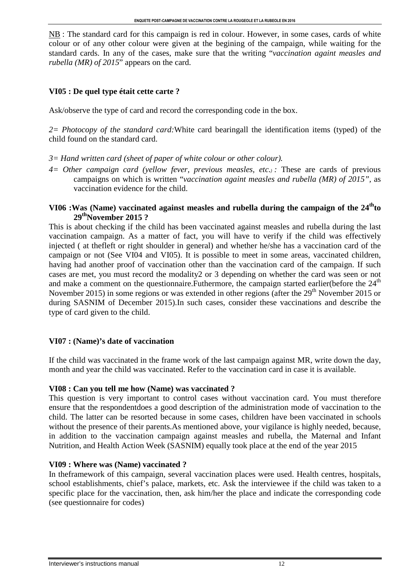NB : The standard card for this campaign is red in colour. However, in some cases, cards of white colour or of any other colour were given at the begining of the campaign, while waiting for the standard cards. In any of the cases, make sure that the writing "*vaccination againt measles and rubella (MR) of 2015*" appears on the card.

### **VI05 : De quel type était cette carte ?**

Ask/observe the type of card and record the corresponding code in the box.

*2= Photocopy of the standard card:*White card bearingall the identification items (typed) of the child found on the standard card.

- *3= Hand written card (sheet of paper of white colour or other colour).*
- *4= Other campaign card (yellow fever, previous measles, etc.) :* These are cards of previous campaigns on which is written "*vaccination againt measles and rubella (MR) of 2015",* as vaccination evidence for the child.

### **VI06 :Was (Name) vaccinated against measles and rubella during the campaign of the 24thto 29thNovember 2015 ?**

This is about checking if the child has been vaccinated against measles and rubella during the last vaccination campaign. As a matter of fact, you will have to verify if the child was effectively injected ( at thefleft or right shoulder in general) and whether he/she has a vaccination card of the campaign or not (See VI04 and VI05). It is possible to meet in some areas, vaccinated children, having had another proof of vaccination other than the vaccination card of the campaign. If such cases are met, you must record the modality2 or 3 depending on whether the card was seen or not and make a comment on the questionnaire. Futhermore, the campaign started earlier(before the  $24<sup>th</sup>$ November 2015) in some regions or was extended in other regions (after the  $29<sup>th</sup>$  November 2015 or during SASNIM of December 2015).In such cases, consider these vaccinations and describe the type of card given to the child.

# **VI07 : (Name)'s date of vaccination**

If the child was vaccinated in the frame work of the last campaign against MR, write down the day, month and year the child was vaccinated. Refer to the vaccination card in case it is available.

### **VI08 : Can you tell me how (Name) was vaccinated ?**

This question is very important to control cases without vaccination card. You must therefore ensure that the respondentdoes a good description of the administration mode of vaccination to the child. The latter can be resorted because in some cases, children have been vaccinated in schools without the presence of their parents.As mentioned above, your vigilance is highly needed, because, in addition to the vaccination campaign against measles and rubella, the Maternal and Infant Nutrition, and Health Action Week (SASNIM) equally took place at the end of the year 2015

### **VI09 : Where was (Name) vaccinated ?**

In theframework of this campaign, several vaccination places were used. Health centres, hospitals, school establishments, chief's palace, markets, etc. Ask the interviewee if the child was taken to a specific place for the vaccination, then, ask him/her the place and indicate the corresponding code (see questionnaire for codes)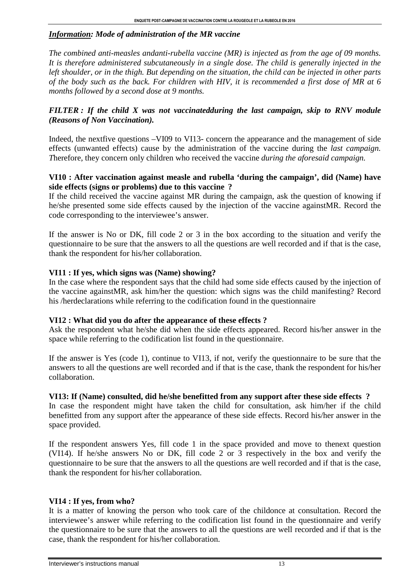### *Information: Mode of administration of the MR vaccine*

*The combined anti-measles andanti-rubella vaccine (MR) is injected as from the age of 09 months. It is therefore administered subcutaneously in a single dose. The child is generally injected in the left shoulder, or in the thigh. But depending on the situation, the child can be injected in other parts of the body such as the back. For children with HIV, it is recommended a first dose of MR at 6 months followed by a second dose at 9 months.*

# *FILTER : If the child X was not vaccinatedduring the last campaign, skip to RNV module (Reasons of Non Vaccination).*

Indeed, the nextfive questions –VI09 to VI13- concern the appearance and the management of side effects (unwanted effects) cause by the administration of the vaccine during the *last campaign. T*herefore, they concern only children who received the vaccine *during the aforesaid campaign.*

### **VI10 : After vaccination against measle and rubella 'during the campaign', did (Name) have side effects (signs or problems) due to this vaccine ?**

If the child received the vaccine against MR during the campaign, ask the question of knowing if he/she presented some side effects caused by the injection of the vaccine againstMR. Record the code corresponding to the interviewee's answer.

If the answer is No or DK, fill code 2 or 3 in the box according to the situation and verify the questionnaire to be sure that the answers to all the questions are well recorded and if that is the case, thank the respondent for his/her collaboration.

### **VI11 : If yes, which signs was (Name) showing?**

In the case where the respondent says that the child had some side effects caused by the injection of the vaccine againstMR, ask him/her the question: which signs was the child manifesting? Record his /herdeclarations while referring to the codification found in the questionnaire

### **VI12 : What did you do after the appearance of these effects ?**

Ask the respondent what he/she did when the side effects appeared. Record his/her answer in the space while referring to the codification list found in the questionnaire.

If the answer is Yes (code 1), continue to VI13, if not, verify the questionnaire to be sure that the answers to all the questions are well recorded and if that is the case, thank the respondent for his/her collaboration.

### **VI13: If (Name) consulted, did he/she benefitted from any support after these side effects ?**

In case the respondent might have taken the child for consultation, ask him/her if the child benefitted from any support after the appearance of these side effects. Record his/her answer in the space provided.

If the respondent answers Yes, fill code 1 in the space provided and move to thenext question (VI14). If he/she answers No or DK, fill code 2 or 3 respectively in the box and verify the questionnaire to be sure that the answers to all the questions are well recorded and if that is the case, thank the respondent for his/her collaboration.

### **VI14 : If yes, from who?**

It is a matter of knowing the person who took care of the childonce at consultation. Record the interviewee's answer while referring to the codification list found in the questionnaire and verify the questionnaire to be sure that the answers to all the questions are well recorded and if that is the case, thank the respondent for his/her collaboration.